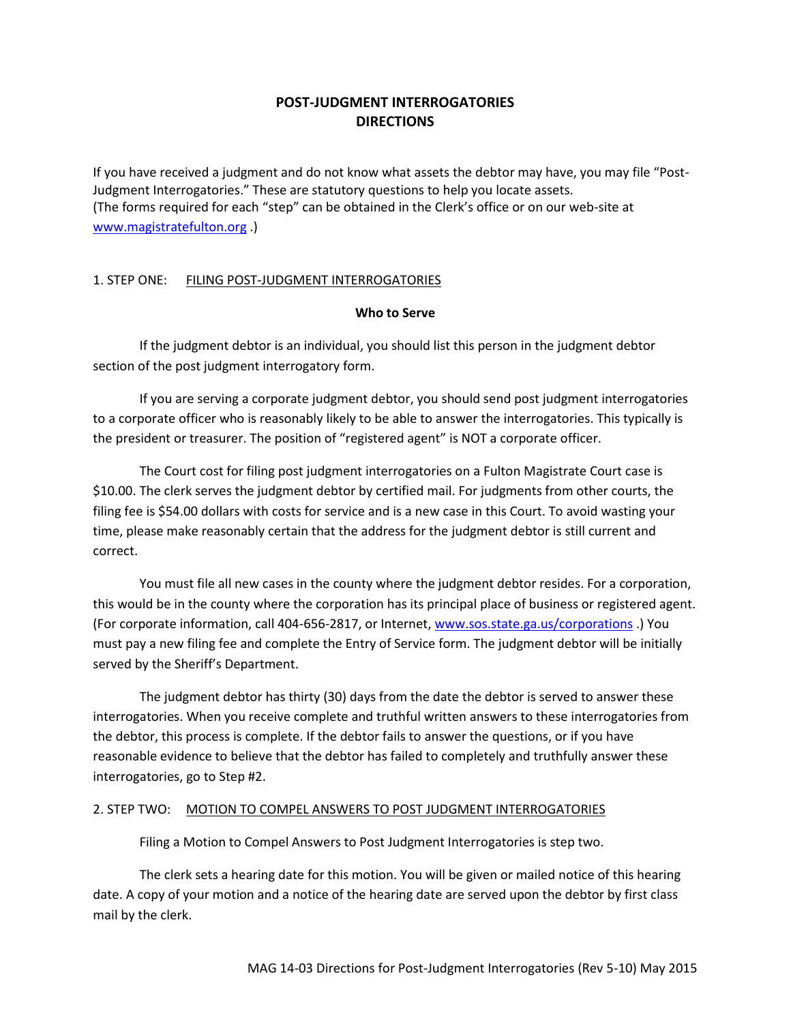## **POST-JUDGMENT INTERROGATORIES DIRECTIONS**

If you have received a judgment and do not know what assets the debtor may have, you may file "Post-Judgment Interrogatories." These are statutory questions to help you locate assets. (The forms required for each "step" can be obtained in the Clerk's office or on our web-site at [www.magistratefulton.org](http://www.magistratefulton.org/) .)

#### 1. STEP ONE: FILING POST-JUDGMENT INTERROGATORIES

#### **Who to Serve**

If the judgment debtor is an individual, you should list this person in the judgment debtor section of the post judgment interrogatory form.

If you are serving a corporate judgment debtor, you should send post judgment interrogatories to a corporate officer who is reasonably likely to be able to answer the interrogatories. This typically is the president or treasurer. The position of "registered agent" is NOT a corporate officer.

The Court cost for filing post judgment interrogatories on a Fulton Magistrate Court case is \$10.00. The clerk serves the judgment debtor by certified mail. For judgments from other courts, the filing fee is \$54.00 dollars with costs for service and is a new case in this Court. To avoid wasting your time, please make reasonably certain that the address for the judgment debtor is still current and correct.

You must file all new cases in the county where the judgment debtor resides. For a corporation, this would be in the county where the corporation has its principal place of business or registered agent. (For corporate information, call 404-656-2817, or Internet[, www.sos.state.ga.us/corporations](http://www.sos.state.ga.us/corporations) .) You must pay a new filing fee and complete the Entry of Service form. The judgment debtor will be initially served by the Sheriff's Department.

The judgment debtor has thirty (30) days from the date the debtor is served to answer these interrogatories. When you receive complete and truthful written answers to these interrogatories from the debtor, this process is complete. If the debtor fails to answer the questions, or if you have reasonable evidence to believe that the debtor has failed to completely and truthfully answer these interrogatories, go to Step #2.

#### 2. STEP TWO: MOTION TO COMPEL ANSWERS TO POST JUDGMENT INTERROGATORIES

Filing a Motion to Compel Answers to Post Judgment Interrogatories is step two.

The clerk sets a hearing date for this motion. You will be given or mailed notice of this hearing date. A copy of your motion and a notice of the hearing date are served upon the debtor by first class mail by the clerk.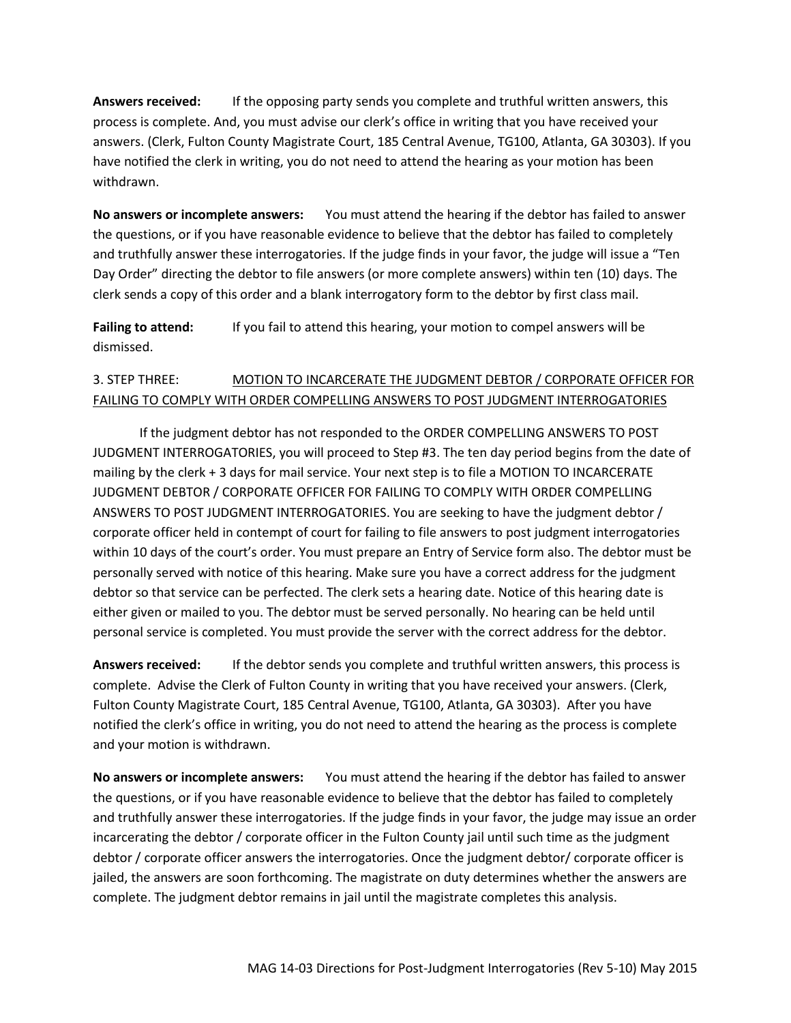**Answers received:** If the opposing party sends you complete and truthful written answers, this process is complete. And, you must advise our clerk's office in writing that you have received your answers. (Clerk, Fulton County Magistrate Court, 185 Central Avenue, TG100, Atlanta, GA 30303). If you have notified the clerk in writing, you do not need to attend the hearing as your motion has been withdrawn.

**No answers or incomplete answers:** You must attend the hearing if the debtor has failed to answer the questions, or if you have reasonable evidence to believe that the debtor has failed to completely and truthfully answer these interrogatories. If the judge finds in your favor, the judge will issue a "Ten Day Order" directing the debtor to file answers (or more complete answers) within ten (10) days. The clerk sends a copy of this order and a blank interrogatory form to the debtor by first class mail.

**Failing to attend:** If you fail to attend this hearing, your motion to compel answers will be dismissed.

# 3. STEP THREE: MOTION TO INCARCERATE THE JUDGMENT DEBTOR / CORPORATE OFFICER FOR FAILING TO COMPLY WITH ORDER COMPELLING ANSWERS TO POST JUDGMENT INTERROGATORIES

If the judgment debtor has not responded to the ORDER COMPELLING ANSWERS TO POST JUDGMENT INTERROGATORIES, you will proceed to Step #3. The ten day period begins from the date of mailing by the clerk + 3 days for mail service. Your next step is to file a MOTION TO INCARCERATE JUDGMENT DEBTOR / CORPORATE OFFICER FOR FAILING TO COMPLY WITH ORDER COMPELLING ANSWERS TO POST JUDGMENT INTERROGATORIES. You are seeking to have the judgment debtor / corporate officer held in contempt of court for failing to file answers to post judgment interrogatories within 10 days of the court's order. You must prepare an Entry of Service form also. The debtor must be personally served with notice of this hearing. Make sure you have a correct address for the judgment debtor so that service can be perfected. The clerk sets a hearing date. Notice of this hearing date is either given or mailed to you. The debtor must be served personally. No hearing can be held until personal service is completed. You must provide the server with the correct address for the debtor.

**Answers received:** If the debtor sends you complete and truthful written answers, this process is complete. Advise the Clerk of Fulton County in writing that you have received your answers. (Clerk, Fulton County Magistrate Court, 185 Central Avenue, TG100, Atlanta, GA 30303). After you have notified the clerk's office in writing, you do not need to attend the hearing as the process is complete and your motion is withdrawn.

**No answers or incomplete answers:** You must attend the hearing if the debtor has failed to answer the questions, or if you have reasonable evidence to believe that the debtor has failed to completely and truthfully answer these interrogatories. If the judge finds in your favor, the judge may issue an order incarcerating the debtor / corporate officer in the Fulton County jail until such time as the judgment debtor / corporate officer answers the interrogatories. Once the judgment debtor/ corporate officer is jailed, the answers are soon forthcoming. The magistrate on duty determines whether the answers are complete. The judgment debtor remains in jail until the magistrate completes this analysis.